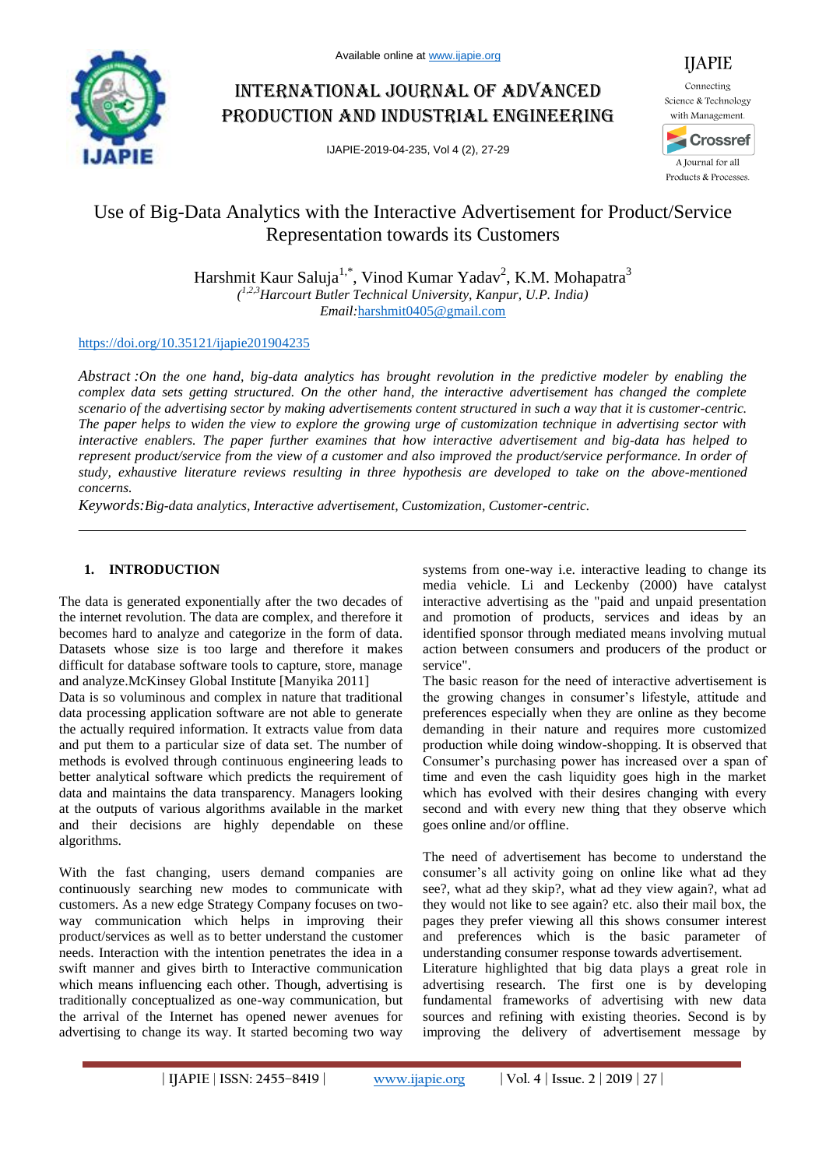

# International journal of advanced production and industrial engineering

IJAPIE-2019-04-235, Vol 4 (2), 27-29



IJAPIE

# Use of Big-Data Analytics with the Interactive Advertisement for Product/Service Representation towards its Customers

Harshmit Kaur Saluja<sup>1,\*</sup>, Vinod Kumar Yadav<sup>2</sup>, K.M. Mohapatra<sup>3</sup> *( 1,2,3Harcourt Butler Technical University, Kanpur, U.P. India) Email:*harshmit0405@gmail.com

### https://doi.org/10.35121/ijapie201904235

*Abstract :On the one hand, big-data analytics has brought revolution in the predictive modeler by enabling the complex data sets getting structured. On the other hand, the interactive advertisement has changed the complete scenario of the advertising sector by making advertisements content structured in such a way that it is customer-centric. The paper helps to widen the view to explore the growing urge of customization technique in advertising sector with interactive enablers. The paper further examines that how interactive advertisement and big-data has helped to represent product/service from the view of a customer and also improved the product/service performance. In order of study, exhaustive literature reviews resulting in three hypothesis are developed to take on the above-mentioned concerns.*

*Keywords:Big-data analytics, Interactive advertisement, Customization, Customer-centric.*

## **1. INTRODUCTION**

The data is generated exponentially after the two decades of the internet revolution. The data are complex, and therefore it becomes hard to analyze and categorize in the form of data. Datasets whose size is too large and therefore it makes difficult for database software tools to capture, store, manage and analyze.McKinsey Global Institute [Manyika 2011]

Data is so voluminous and complex in nature that traditional data processing application software are not able to generate the actually required information. It extracts value from data and put them to a particular size of data set. The number of methods is evolved through continuous engineering leads to better analytical software which predicts the requirement of data and maintains the data transparency. Managers looking at the outputs of various algorithms available in the market and their decisions are highly dependable on these algorithms.

With the fast changing, users demand companies are continuously searching new modes to communicate with customers. As a new edge Strategy Company focuses on twoway communication which helps in improving their product/services as well as to better understand the customer needs. Interaction with the intention penetrates the idea in a swift manner and gives birth to Interactive communication which means influencing each other. Though, advertising is traditionally conceptualized as one-way communication, but the arrival of the Internet has opened newer avenues for advertising to change its way. It started becoming two way

systems from one-way i.e. interactive leading to change its media vehicle. Li and Leckenby (2000) have catalyst interactive advertising as the "paid and unpaid presentation and promotion of products, services and ideas by an identified sponsor through mediated means involving mutual action between consumers and producers of the product or service".

The basic reason for the need of interactive advertisement is the growing changes in consumer's lifestyle, attitude and preferences especially when they are online as they become demanding in their nature and requires more customized production while doing window-shopping. It is observed that Consumer's purchasing power has increased over a span of time and even the cash liquidity goes high in the market which has evolved with their desires changing with every second and with every new thing that they observe which goes online and/or offline.

The need of advertisement has become to understand the consumer's all activity going on online like what ad they see?, what ad they skip?, what ad they view again?, what ad they would not like to see again? etc. also their mail box, the pages they prefer viewing all this shows consumer interest and preferences which is the basic parameter of understanding consumer response towards advertisement.

Literature highlighted that big data plays a great role in advertising research. The first one is by developing fundamental frameworks of advertising with new data sources and refining with existing theories. Second is by improving the delivery of advertisement message by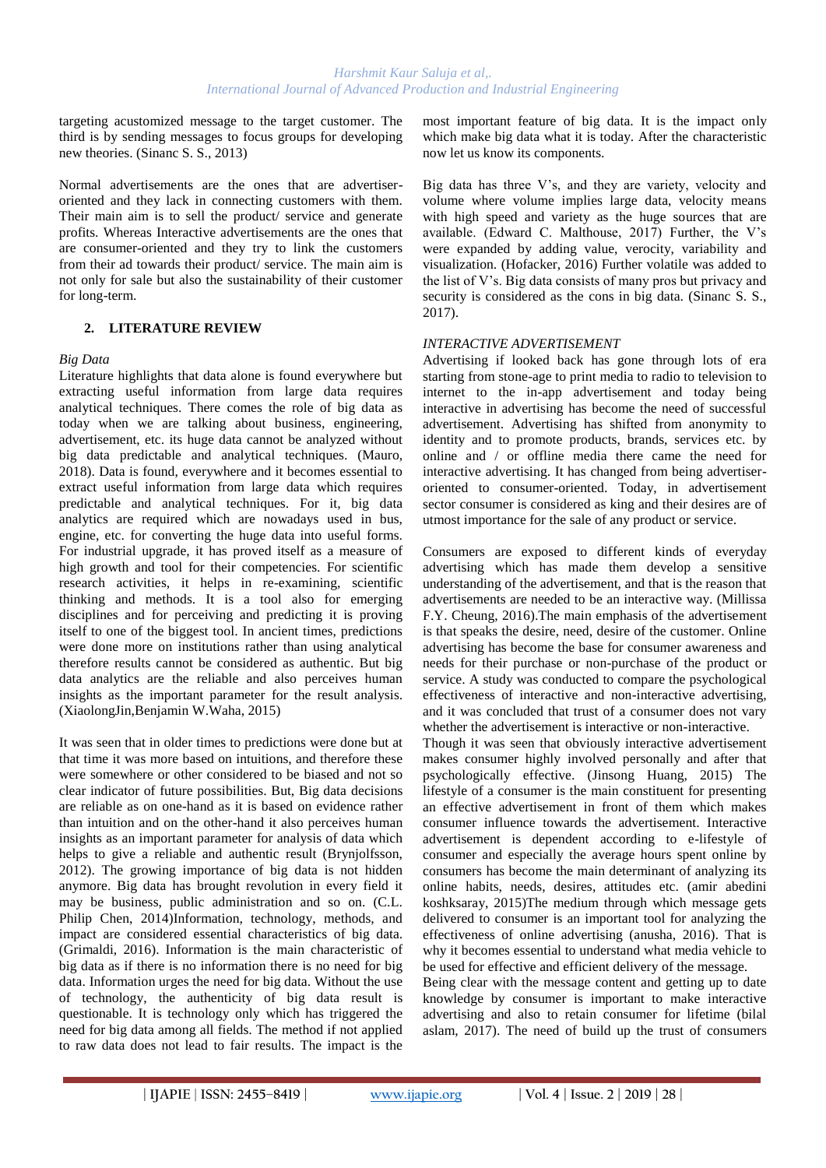targeting acustomized message to the target customer. The third is by sending messages to focus groups for developing new theories. (Sinanc S. S., 2013)

Normal advertisements are the ones that are advertiseroriented and they lack in connecting customers with them. Their main aim is to sell the product/ service and generate profits. Whereas Interactive advertisements are the ones that are consumer-oriented and they try to link the customers from their ad towards their product/ service. The main aim is not only for sale but also the sustainability of their customer for long-term.

## **2. LITERATURE REVIEW**

### *Big Data*

Literature highlights that data alone is found everywhere but extracting useful information from large data requires analytical techniques. There comes the role of big data as today when we are talking about business, engineering, advertisement, etc. its huge data cannot be analyzed without big data predictable and analytical techniques. (Mauro, 2018). Data is found, everywhere and it becomes essential to extract useful information from large data which requires predictable and analytical techniques. For it, big data analytics are required which are nowadays used in bus, engine, etc. for converting the huge data into useful forms. For industrial upgrade, it has proved itself as a measure of high growth and tool for their competencies. For scientific research activities, it helps in re-examining, scientific thinking and methods. It is a tool also for emerging disciplines and for perceiving and predicting it is proving itself to one of the biggest tool. In ancient times, predictions were done more on institutions rather than using analytical therefore results cannot be considered as authentic. But big data analytics are the reliable and also perceives human insights as the important parameter for the result analysis. (XiaolongJin,Benjamin W.Waha, 2015)

It was seen that in older times to predictions were done but at that time it was more based on intuitions, and therefore these were somewhere or other considered to be biased and not so clear indicator of future possibilities. But, Big data decisions are reliable as on one-hand as it is based on evidence rather than intuition and on the other-hand it also perceives human insights as an important parameter for analysis of data which helps to give a reliable and authentic result (Brynjolfsson, 2012). The growing importance of big data is not hidden anymore. Big data has brought revolution in every field it may be business, public administration and so on. (C.L. Philip Chen, 2014)Information, technology, methods, and impact are considered essential characteristics of big data. (Grimaldi, 2016). Information is the main characteristic of big data as if there is no information there is no need for big data. Information urges the need for big data. Without the use of technology, the authenticity of big data result is questionable. It is technology only which has triggered the need for big data among all fields. The method if not applied to raw data does not lead to fair results. The impact is the most important feature of big data. It is the impact only which make big data what it is today. After the characteristic now let us know its components.

Big data has three V's, and they are variety, velocity and volume where volume implies large data, velocity means with high speed and variety as the huge sources that are available. (Edward C. Malthouse, 2017) Further, the V's were expanded by adding value, verocity, variability and visualization. (Hofacker, 2016) Further volatile was added to the list of V's. Big data consists of many pros but privacy and security is considered as the cons in big data. (Sinanc S. S., 2017).

### *INTERACTIVE ADVERTISEMENT*

Advertising if looked back has gone through lots of era starting from stone-age to print media to radio to television to internet to the in-app advertisement and today being interactive in advertising has become the need of successful advertisement. Advertising has shifted from anonymity to identity and to promote products, brands, services etc. by online and / or offline media there came the need for interactive advertising. It has changed from being advertiseroriented to consumer-oriented. Today, in advertisement sector consumer is considered as king and their desires are of utmost importance for the sale of any product or service.

Consumers are exposed to different kinds of everyday advertising which has made them develop a sensitive understanding of the advertisement, and that is the reason that advertisements are needed to be an interactive way. (Millissa F.Y. Cheung, 2016).The main emphasis of the advertisement is that speaks the desire, need, desire of the customer. Online advertising has become the base for consumer awareness and needs for their purchase or non-purchase of the product or service. A study was conducted to compare the psychological effectiveness of interactive and non-interactive advertising, and it was concluded that trust of a consumer does not vary whether the advertisement is interactive or non-interactive.

Though it was seen that obviously interactive advertisement makes consumer highly involved personally and after that psychologically effective. (Jinsong Huang, 2015) The lifestyle of a consumer is the main constituent for presenting an effective advertisement in front of them which makes consumer influence towards the advertisement. Interactive advertisement is dependent according to e-lifestyle of consumer and especially the average hours spent online by consumers has become the main determinant of analyzing its online habits, needs, desires, attitudes etc. (amir abedini koshksaray, 2015)The medium through which message gets delivered to consumer is an important tool for analyzing the effectiveness of online advertising (anusha, 2016). That is why it becomes essential to understand what media vehicle to be used for effective and efficient delivery of the message.

Being clear with the message content and getting up to date knowledge by consumer is important to make interactive advertising and also to retain consumer for lifetime (bilal aslam, 2017). The need of build up the trust of consumers